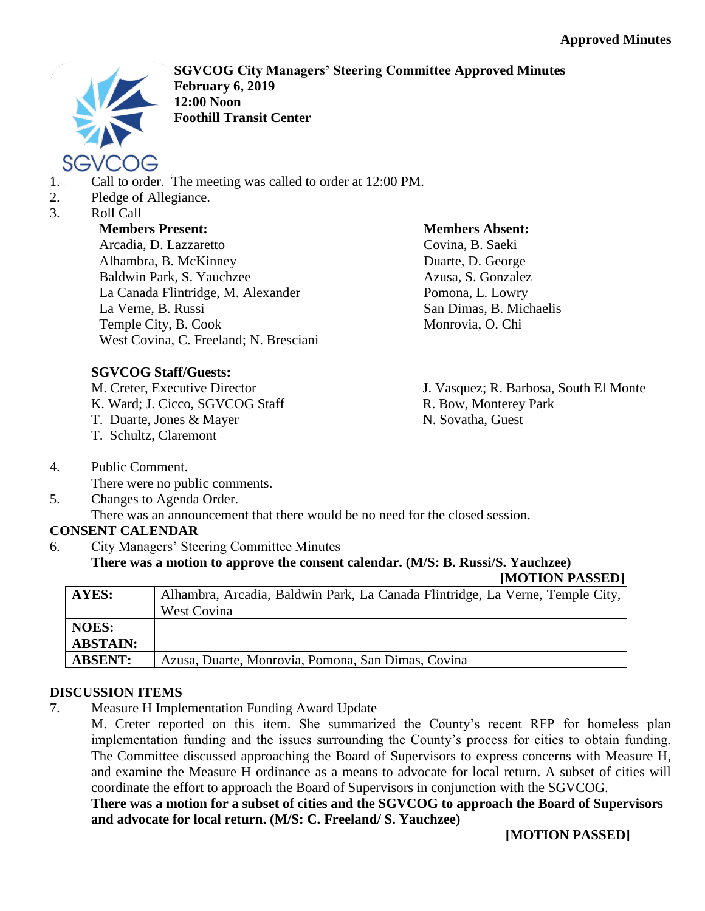

- SGVCOG
- 1. Call to order. The meeting was called to order at 12:00 PM.
- 2. Pledge of Allegiance.
- 3. Roll Call

### **Members Present:**

Arcadia, D. Lazzaretto Alhambra, B. McKinney Baldwin Park, S. Yauchzee La Canada Flintridge, M. Alexander La Verne, B. Russi Temple City, B. Cook West Covina, C. Freeland; N. Bresciani

# **SGVCOG Staff/Guests:**

M. Creter, Executive Director

- K. Ward; J. Cicco, SGVCOG Staff
- T. Duarte, Jones & Mayer
- T. Schultz, Claremont
- 4. Public Comment. There were no public comments.
- 5. Changes to Agenda Order.

There was an announcement that there would be no need for the closed session.

# **CONSENT CALENDAR**

6. City Managers' Steering Committee Minutes

#### **There was a motion to approve the consent calendar. (M/S: B. Russi/S. Yauchzee)**

**[MOTION PASSED]**

| AYES:           | Alhambra, Arcadia, Baldwin Park, La Canada Flintridge, La Verne, Temple City,<br><b>West Covina</b> |
|-----------------|-----------------------------------------------------------------------------------------------------|
| <b>NOES:</b>    |                                                                                                     |
| <b>ABSTAIN:</b> |                                                                                                     |
| <b>ABSENT:</b>  | Azusa, Duarte, Monrovia, Pomona, San Dimas, Covina                                                  |

### **DISCUSSION ITEMS**

7. Measure H Implementation Funding Award Update

M. Creter reported on this item. She summarized the County's recent RFP for homeless plan implementation funding and the issues surrounding the County's process for cities to obtain funding. The Committee discussed approaching the Board of Supervisors to express concerns with Measure H, and examine the Measure H ordinance as a means to advocate for local return. A subset of cities will coordinate the effort to approach the Board of Supervisors in conjunction with the SGVCOG.

### **There was a motion for a subset of cities and the SGVCOG to approach the Board of Supervisors and advocate for local return. (M/S: C. Freeland/ S. Yauchzee)**

**[MOTION PASSED]**



Covina, B. Saeki Duarte, D. George Azusa, S. Gonzalez Pomona, L. Lowry San Dimas, B. Michaelis Monrovia, O. Chi

**Members Absent:**

J. Vasquez; R. Barbosa, South El Monte R. Bow, Monterey Park N. Sovatha, Guest